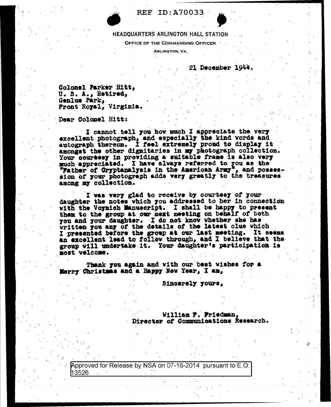**REF ID: A70033** 

### HEADQUARTERS ARLINGTON HALL STATION

OFFICE OF THE COMMANDING OFFICER

ARLINGTON, VA.

21 December 1944.

Colonel Parker Hitt, U. S. A., Retired, Genlue Park, Front Royal, Virginia.

Dear Colonel Hitt:

I cannot tell you how much I appreciate the very excellent photograph, and especially the kind words and autograph thereon. I feel extremely proud to display it amongst the other dignitaries in my photograph collection. Your coursesy in providing a suitable frame is also very much appreciated. I have always referred to you as the "Father of Cryptanalysis in the American Army", and posses-<br>sion of your photograph adds very greatly to the treasures among my collection.

I was very glad to receive by courtesy of your daughter the notes which you addressed to her in connection with the Voynich Manuscript. I shall be happy to present them to the group at our next meeting on behalf of both you and your daughter. I do not know whether she has written you any of the details of the latest clue which I presented before the group at our last meeting. It seems an excellent lead to follow through, and I believe that the group will undertake it. Your daughter's participation is most velcome.

Thank you again and with our best wishes for a Merry Christmas and a Happy New Year, I am,

Sincerely yours,

William F. Friedman, Director of Communications Research.

Approved for Release by NSA on 07-16-2014 pursuant to E.O. 13526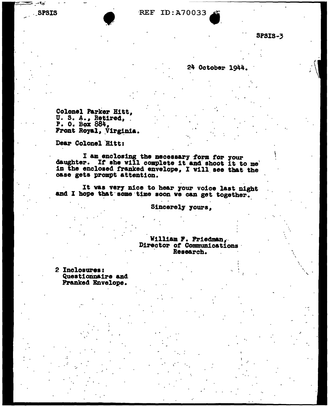# **REF ID: A70033**

**SPSIS-3** 

## 24 October 1944.

Colonel Parker Hitt, U. S. A., Retired, P. O. Box 884, Front Royal, Virginia.

Dear Colonel Hitt:

I am enclosing the necessary form for your<br>daughter. If she will complete it and shoot it to me in the enclosed franked envelope, I will see that the case gets prompt attention.

It was very nice to hear your voice last night and I hope that some time soon we can get together.

Sincerely yours,

William F. Friedman, Director of Communications Research.

2 Inclosures: Questionnaire and Franked Envelope.

**SPSIS** 

. .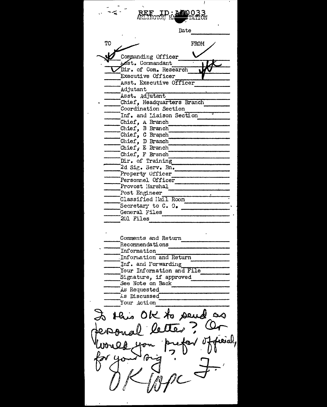Date TO **FROM** Commanding Officer Lest. Commandant Dir. of Com. Research .<br>Executive Officer Asst. Executive Officer .<br>Adjutant Asst. Adjutant Chief, Headquarters Branch Coordination Section Inf. and Liaison Section Chief, A Branch<br>Chief, B Branch Chief, C Branch Chief, D Branch Chief, E Branch Chief, F Branch Dir. of Training 2d Sig. Serv. Bn. Property Officer Personnel Officer Provost Marshal Post Engineer Classified Hail Room Secretary to C. O. General Files 201 Files Comments and Return Recommendations Information Information and Return Inf. and Porwarding Your Information and File Signature, if approved See Note on Back As Requested As Discussed Your Action to this OK to send as  $Q_{\tau}$ letter ieial,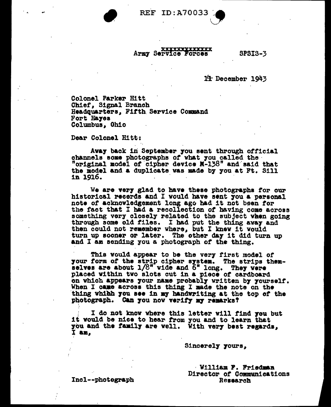**REF ID:A70033** 

#### **XXXXXXXXXXXXX** Army Service Forces

**SPSIS-3** 

 $14$  December  $1943$ 

Colonel Parker Hitt Chief. Signal Branch Headquarters. Fifth Service Command Fort Hayes Columbus, Ohio

Dear Colonel Hitt:

Away back in September you sent through official channels some photographs of what you called the "original model of cipher device N-138" and said that the model and a duplicate was made by you at Ft. Sill in 1916.

We are very glad to have these photographs for our historical recerds and I would have sent you a personal note of acknowledgement long ago had it not been for the fact that I had a recollection of having come across something very closely related to the subject when going through some old files. I had put the thing away and then could not remember where, but I knew it would turn up sooner or later. The other day it did turn up and I am sending you a photograph of the thing.

This would appear to be the very first model of your form of the strip cipher system. The strips themselves are about 1/8" wide and 6" long. They were placed within two slots cut in a piece of cardboard on which appears your name probably written by yourself. When I came across this thing I made the note on the thing which you see in my handwriting at the top of the photograph. Can you now verify my remarks?

I do not know where this letter will find you but it would be nice to hear from you and to learn that you and the family are well. With very best regards, I am.

Sincerely yours,

William F. Friedman Director of Communications Research

Incl--photograph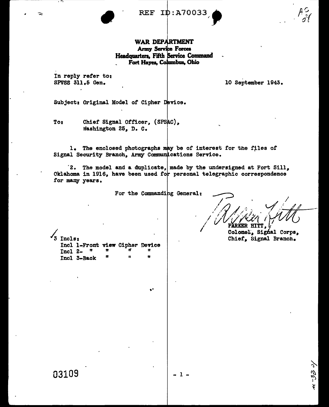**REF ID: A7003** 

## WAR DEPARTMENT **Army Service Forces** Headquarters, Fifth Service Command Fort Hayes, Columbus, Ohio

In reply refer to: SPVSS 311.5 Gen.

≂

10 September 1943.

Subject: Original Model of Cipher Device.

Chief Signal Officer, (SPSAC), To: Washington 25, D. C.

1. The enclosed photographs may be of interest for the files of Signal Security Branch, Army Communications Service.

 $2.$  The model and a duplicate, made by the undersigned at Fort Sill, Oklahoma in 1916, have been used for personal telegraphic correspondence for many years.

For the Commanding General:

۵ł

Colonel, Signal Corps, Chief, Signal Branch.

رں چے ی

Ļ

3 Incls: Incl 1-Front view Cipher Device ı,  $Incl 2$ n 'n  $\mathbf{H}$ Incl 3-Back

 $1 -$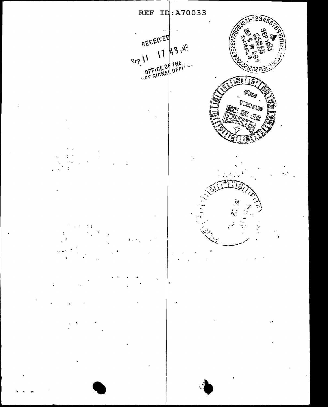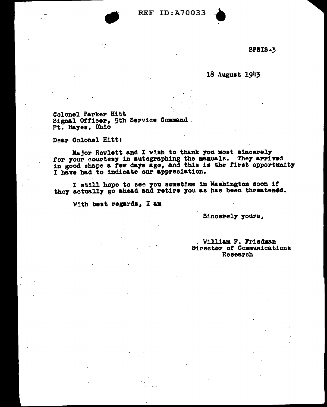

**SP5I8-5** 

18 August 1943

Colonel Parker Hitt Signal Officer, 5th Service Command. Ft. Hayes, Ohio

Dear Colonel Hitt:

Major Rowlett and I wish to thank you most sincerely for your courtesy in autographing the manuals. They arrived<br>in good shape a few days ago, and this is the first opportunity I have had to indicate our appreciation.

I still hope to see you sometime in Washington soon if they actually go ahead and retire you as has been threatened.

With best regards, I am

Sincerely yours,

### William F. Friedman **Birector of Communications** Research